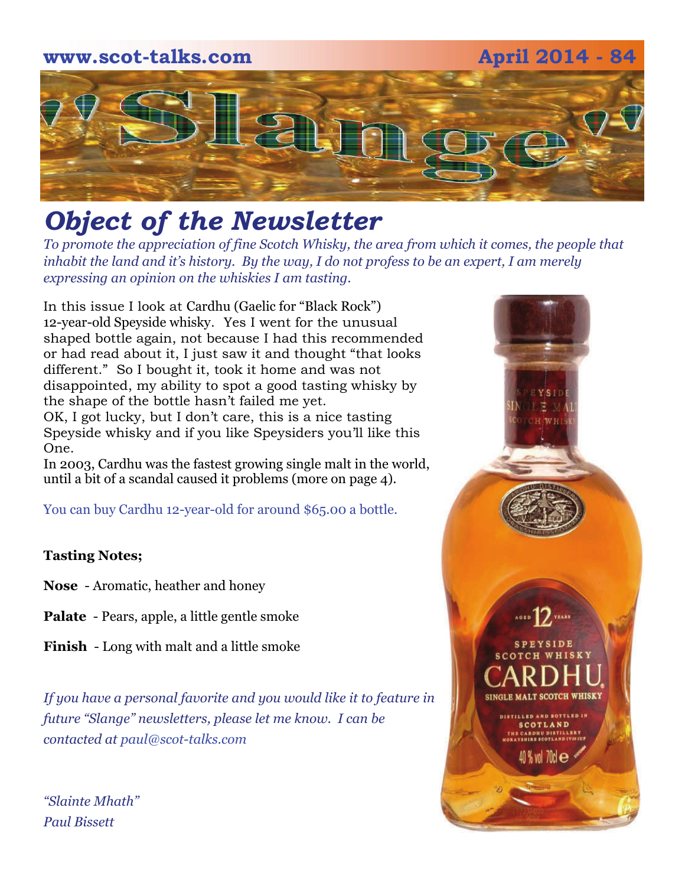

## *Object of the Newsletter*

*To promote the appreciation of fine Scotch Whisky, the area from which it comes, the people that inhabit the land and it's history. By the way, I do not profess to be an expert, I am merely expressing an opinion on the whiskies I am tasting.* 

In this issue I look at Cardhu (Gaelic for "Black Rock") 12-year-old Speyside whisky. Yes I went for the unusual shaped bottle again, not because I had this recommended or had read about it, I just saw it and thought "that looks different." So I bought it, took it home and was not disappointed, my ability to spot a good tasting whisky by the shape of the bottle hasn't failed me yet. OK, I got lucky, but I don't care, this is a nice tasting

Speyside whisky and if you like Speysiders you'll like this One.

In 2003, Cardhu was the fastest growing single malt in the world, until a bit of a scandal caused it problems (more on page 4).

You can buy Cardhu 12-year-old for around \$65.00 a bottle.

### **Tasting Notes;**

**Nose** - Aromatic, heather and honey

**Palate** - Pears, apple, a little gentle smoke

**Finish** - Long with malt and a little smoke

*If you have a personal favorite and you would like it to feature in future "Slange" newsletters, please let me know. I can be contacted at paul@scot-talks.com*

*"Slainte Mhath" Paul Bissett*

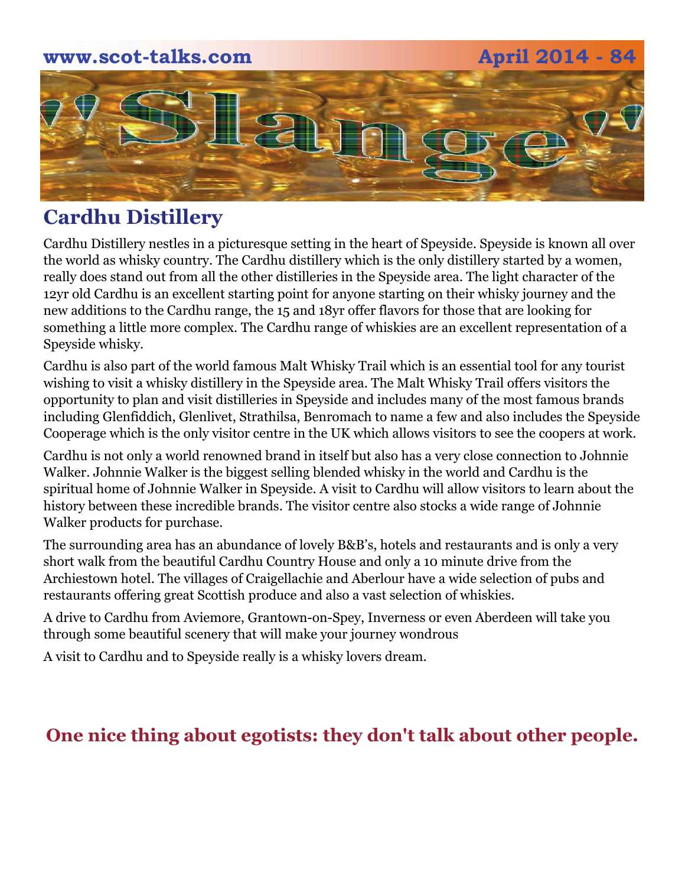# **www.scot-talks.com April 2014 - 84** lan

### **Cardhu Distillery**

Cardhu Distillery nestles in a picturesque setting in the heart of Speyside. Speyside is known all over the world as whisky country. The Cardhu distillery which is the only distillery started by a women, really does stand out from all the other distilleries in the Speyside area. The light character of the 12yr old Cardhu is an excellent starting point for anyone starting on their whisky journey and the new additions to the Cardhu range, the 15 and 18yr offer flavors for those that are looking for something a little more complex. The Cardhu range of whiskies are an excellent representation of a Speyside whisky.

Cardhu is also part of the world famous Malt Whisky Trail which is an essential tool for any tourist wishing to visit a whisky distillery in the Speyside area. The Malt Whisky Trail offers visitors the opportunity to plan and visit distilleries in Speyside and includes many of the most famous brands including Glenfiddich, Glenlivet, Strathilsa, Benromach to name a few and also includes the Speyside Cooperage which is the only visitor centre in the UK which allows visitors to see the coopers at work.

Cardhu is not only a world renowned brand in itself but also has a very close connection to Johnnie Walker. Johnnie Walker is the biggest selling blended whisky in the world and Cardhu is the spiritual home of Johnnie Walker in Speyside. A visit to Cardhu will allow visitors to learn about the history between these incredible brands. The visitor centre also stocks a wide range of Johnnie Walker products for purchase.

The surrounding area has an abundance of lovely B&B's, hotels and restaurants and is only a very short walk from the beautiful Cardhu Country House and only a 10 minute drive from the Archiestown hotel. The villages of Craigellachie and Aberlour have a wide selection of pubs and restaurants offering great Scottish produce and also a vast selection of whiskies.

A drive to Cardhu from Aviemore, Grantown-on-Spey, Inverness or even Aberdeen will take you through some beautiful scenery that will make your journey wondrous

A visit to Cardhu and to Speyside really is a whisky lovers dream.

### **One nice thing about egotists: they don't talk about other people.**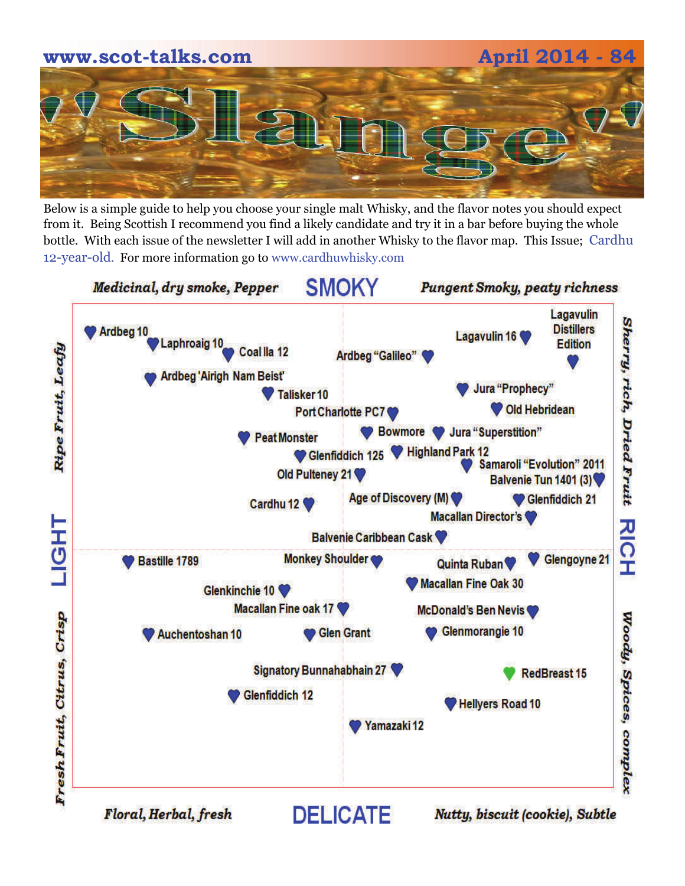# **www.scot-talks.com April 2014 - 84**

Below is a simple guide to help you choose your single malt Whisky, and the flavor notes you should expect from it. Being Scottish I recommend you find a likely candidate and try it in a bar before buying the whole bottle. With each issue of the newsletter I will add in another Whisky to the flavor map. This Issue; Cardhu 12-year-old. For more information go to www.cardhuwhisky.com

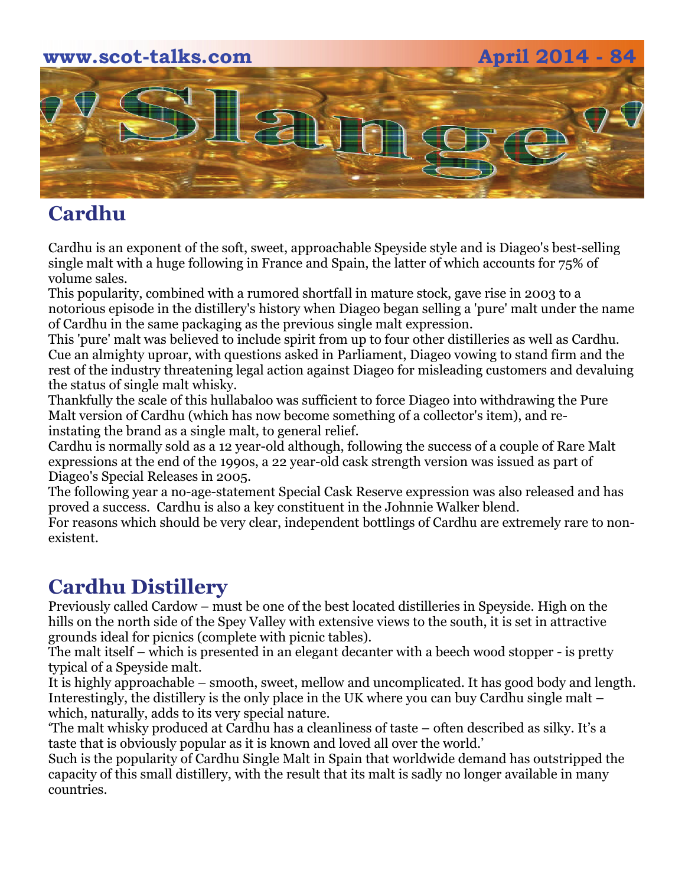## **www.scot-talks.com April 2014 - 84**  $\geq$

### **Cardhu**

Cardhu is an exponent of the soft, sweet, approachable Speyside style and is Diageo's best-selling single malt with a huge following in France and Spain, the latter of which accounts for 75% of volume sales.

This popularity, combined with a rumored shortfall in mature stock, gave rise in 2003 to a notorious episode in the distillery's history when Diageo began selling a 'pure' malt under the name of Cardhu in the same packaging as the previous single malt expression.

This 'pure' malt was believed to include spirit from up to four other distilleries as well as Cardhu. Cue an almighty uproar, with questions asked in Parliament, Diageo vowing to stand firm and the rest of the industry threatening legal action against Diageo for misleading customers and devaluing the status of single malt whisky.

Thankfully the scale of this hullabaloo was sufficient to force Diageo into withdrawing the Pure Malt version of Cardhu (which has now become something of a collector's item), and reinstating the brand as a single malt, to general relief.

Cardhu is normally sold as a 12 year-old although, following the success of a couple of Rare Malt expressions at the end of the 1990s, a 22 year-old cask strength version was issued as part of Diageo's Special Releases in 2005.

The following year a no-age-statement Special Cask Reserve expression was also released and has proved a success. Cardhu is also a key constituent in the Johnnie Walker blend.

For reasons which should be very clear, independent bottlings of Cardhu are extremely rare to nonexistent.

### **Cardhu Distillery**

Previously called Cardow – must be one of the best located distilleries in Speyside. High on the hills on the north side of the Spey Valley with extensive views to the south, it is set in attractive grounds ideal for picnics (complete with picnic tables).

The malt itself – which is presented in an elegant decanter with a beech wood stopper - is pretty typical of a Speyside malt.

It is highly approachable – smooth, sweet, mellow and uncomplicated. It has good body and length. Interestingly, the distillery is the only place in the UK where you can buy Cardhu single malt – which, naturally, adds to its very special nature.

'The malt whisky produced at Cardhu has a cleanliness of taste – often described as silky. It's a taste that is obviously popular as it is known and loved all over the world.'

Such is the popularity of Cardhu Single Malt in Spain that worldwide demand has outstripped the capacity of this small distillery, with the result that its malt is sadly no longer available in many countries.